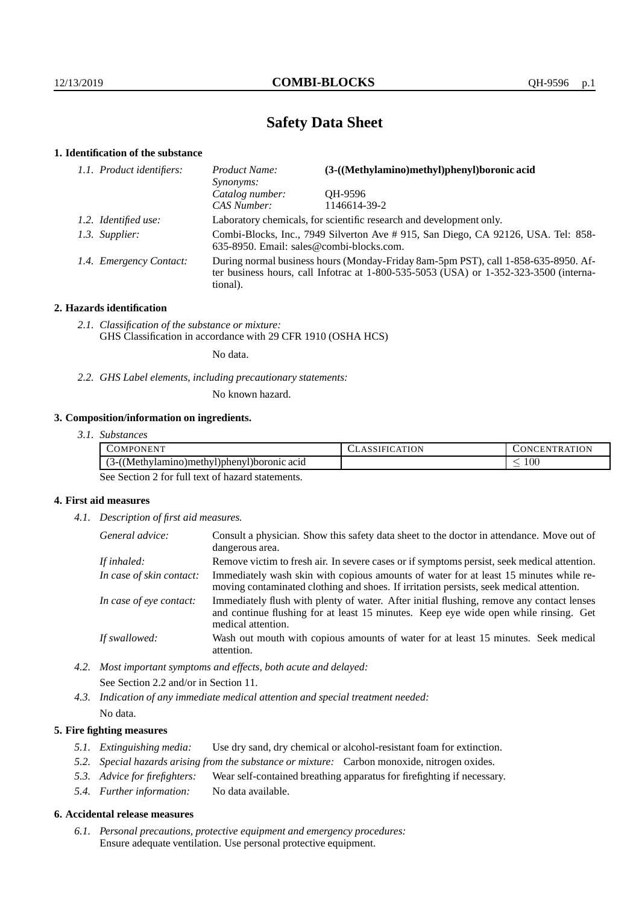# **Safety Data Sheet**

## **1. Identification of the substance**

| 1.1. Product identifiers: | (3-((Methylamino)methyl)phenyl)boronic acid<br>Product Name:<br>Synonyms:                                                                                                               |              |
|---------------------------|-----------------------------------------------------------------------------------------------------------------------------------------------------------------------------------------|--------------|
|                           | Catalog number:                                                                                                                                                                         | OH-9596      |
|                           | CAS Number:                                                                                                                                                                             | 1146614-39-2 |
| 1.2. Identified use:      | Laboratory chemicals, for scientific research and development only.                                                                                                                     |              |
| 1.3. Supplier:            | Combi-Blocks, Inc., 7949 Silverton Ave # 915, San Diego, CA 92126, USA. Tel: 858-<br>635-8950. Email: sales@combi-blocks.com.                                                           |              |
| 1.4. Emergency Contact:   | During normal business hours (Monday-Friday 8am-5pm PST), call 1-858-635-8950. Af-<br>ter business hours, call Infotrac at 1-800-535-5053 (USA) or 1-352-323-3500 (interna-<br>tional). |              |

## **2. Hazards identification**

*2.1. Classification of the substance or mixture:* GHS Classification in accordance with 29 CFR 1910 (OSHA HCS)

No data.

*2.2. GHS Label elements, including precautionary statements:*

No known hazard.

## **3. Composition/information on ingredients.**

*3.1. Substances*

| 5.77<br>COMPC<br>'ONEN'I                            | ATION<br>'ER. | <b>TRATION</b><br>$\overline{\mathbf{N}}$<br>JEN. |
|-----------------------------------------------------|---------------|---------------------------------------------------|
| (Methylamino)methyl)phenyl<br>7Doronic acid<br>1-11 |               | 100<br>_                                          |

See Section 2 for full text of hazard statements.

## **4. First aid measures**

*4.1. Description of first aid measures.*

| General advice:          | Consult a physician. Show this safety data sheet to the doctor in attendance. Move out of<br>dangerous area.                                                                                            |
|--------------------------|---------------------------------------------------------------------------------------------------------------------------------------------------------------------------------------------------------|
| If inhaled:              | Remove victim to fresh air. In severe cases or if symptoms persist, seek medical attention.                                                                                                             |
| In case of skin contact: | Immediately wash skin with copious amounts of water for at least 15 minutes while re-<br>moving contaminated clothing and shoes. If irritation persists, seek medical attention.                        |
| In case of eye contact:  | Immediately flush with plenty of water. After initial flushing, remove any contact lenses<br>and continue flushing for at least 15 minutes. Keep eye wide open while rinsing. Get<br>medical attention. |
| If swallowed:            | Wash out mouth with copious amounts of water for at least 15 minutes. Seek medical<br>attention.                                                                                                        |

*4.2. Most important symptoms and effects, both acute and delayed:* See Section 2.2 and/or in Section 11.

*4.3. Indication of any immediate medical attention and special treatment needed:* No data.

## **5. Fire fighting measures**

- *5.1. Extinguishing media:* Use dry sand, dry chemical or alcohol-resistant foam for extinction.
- *5.2. Special hazards arising from the substance or mixture:* Carbon monoxide, nitrogen oxides.
- *5.3. Advice for firefighters:* Wear self-contained breathing apparatus for firefighting if necessary.
- *5.4. Further information:* No data available.

#### **6. Accidental release measures**

*6.1. Personal precautions, protective equipment and emergency procedures:* Ensure adequate ventilation. Use personal protective equipment.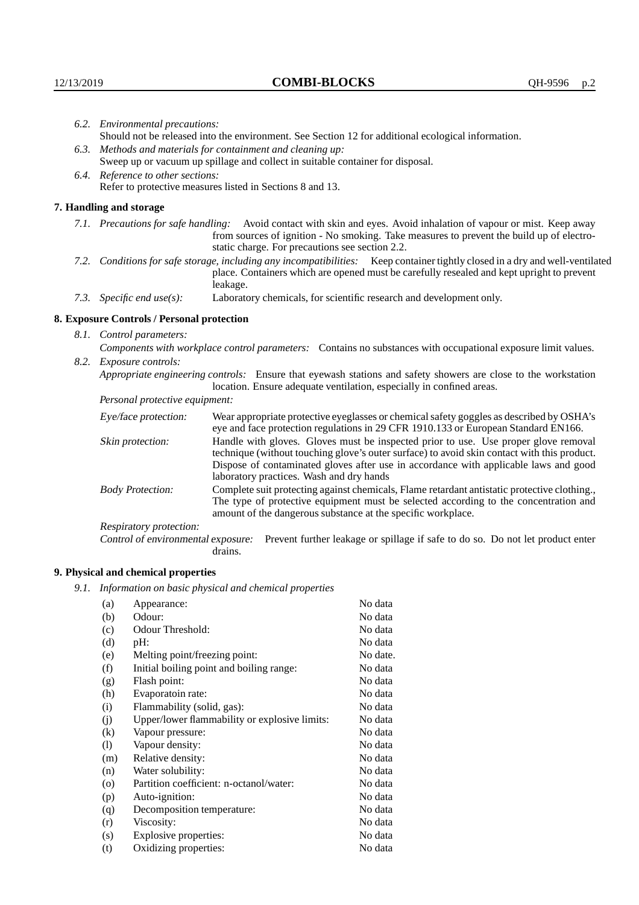|  | 6.2. Environmental precautions:                                                                                                                                                                                                                                    |                                                                                                                                                                                                                                                                                                                        |  |
|--|--------------------------------------------------------------------------------------------------------------------------------------------------------------------------------------------------------------------------------------------------------------------|------------------------------------------------------------------------------------------------------------------------------------------------------------------------------------------------------------------------------------------------------------------------------------------------------------------------|--|
|  | Should not be released into the environment. See Section 12 for additional ecological information.                                                                                                                                                                 |                                                                                                                                                                                                                                                                                                                        |  |
|  | 6.3. Methods and materials for containment and cleaning up:                                                                                                                                                                                                        |                                                                                                                                                                                                                                                                                                                        |  |
|  | Sweep up or vacuum up spillage and collect in suitable container for disposal.                                                                                                                                                                                     |                                                                                                                                                                                                                                                                                                                        |  |
|  |                                                                                                                                                                                                                                                                    |                                                                                                                                                                                                                                                                                                                        |  |
|  | 6.4. Reference to other sections:<br>Refer to protective measures listed in Sections 8 and 13.                                                                                                                                                                     |                                                                                                                                                                                                                                                                                                                        |  |
|  | 7. Handling and storage                                                                                                                                                                                                                                            |                                                                                                                                                                                                                                                                                                                        |  |
|  | 7.1. Precautions for safe handling: Avoid contact with skin and eyes. Avoid inhalation of vapour or mist. Keep away<br>from sources of ignition - No smoking. Take measures to prevent the build up of electro-<br>static charge. For precautions see section 2.2. |                                                                                                                                                                                                                                                                                                                        |  |
|  |                                                                                                                                                                                                                                                                    | 7.2. Conditions for safe storage, including any incompatibilities: Keep container tightly closed in a dry and well-ventilated<br>place. Containers which are opened must be carefully resealed and kept upright to prevent<br>leakage.                                                                                 |  |
|  | 7.3. Specific end use(s):                                                                                                                                                                                                                                          | Laboratory chemicals, for scientific research and development only.                                                                                                                                                                                                                                                    |  |
|  | 8. Exposure Controls / Personal protection                                                                                                                                                                                                                         |                                                                                                                                                                                                                                                                                                                        |  |
|  | 8.1. Control parameters:                                                                                                                                                                                                                                           |                                                                                                                                                                                                                                                                                                                        |  |
|  | Components with workplace control parameters: Contains no substances with occupational exposure limit values.                                                                                                                                                      |                                                                                                                                                                                                                                                                                                                        |  |
|  | 8.2. Exposure controls:                                                                                                                                                                                                                                            |                                                                                                                                                                                                                                                                                                                        |  |
|  | Appropriate engineering controls: Ensure that eyewash stations and safety showers are close to the workstation                                                                                                                                                     |                                                                                                                                                                                                                                                                                                                        |  |
|  |                                                                                                                                                                                                                                                                    | location. Ensure adequate ventilation, especially in confined areas.                                                                                                                                                                                                                                                   |  |
|  | Personal protective equipment:                                                                                                                                                                                                                                     |                                                                                                                                                                                                                                                                                                                        |  |
|  | Eye/face protection:                                                                                                                                                                                                                                               | Wear appropriate protective eyeglasses or chemical safety goggles as described by OSHA's<br>eye and face protection regulations in 29 CFR 1910.133 or European Standard EN166.                                                                                                                                         |  |
|  | Skin protection:                                                                                                                                                                                                                                                   | Handle with gloves. Gloves must be inspected prior to use. Use proper glove removal<br>technique (without touching glove's outer surface) to avoid skin contact with this product.<br>Dispose of contaminated gloves after use in accordance with applicable laws and good<br>laboratory practices. Wash and dry hands |  |
|  | <b>Body Protection:</b>                                                                                                                                                                                                                                            | Complete suit protecting against chemicals, Flame retardant antistatic protective clothing.,<br>The type of protective equipment must be selected according to the concentration and<br>amount of the dangerous substance at the specific workplace.                                                                   |  |
|  | Respiratory protection:                                                                                                                                                                                                                                            |                                                                                                                                                                                                                                                                                                                        |  |

Respiratory protection:

Control of environmental exposure: Prevent further leakage or spillage if safe to do so. Do not let product enter drains.

# **9. Physical and chemical properties**

*9.1. Information on basic physical and chemical properties*

| (a)                        | Appearance:                                   | No data  |
|----------------------------|-----------------------------------------------|----------|
| (b)                        | Odour:                                        | No data  |
| (c)                        | Odour Threshold:                              | No data  |
| (d)                        | pH:                                           | No data  |
| (e)                        | Melting point/freezing point:                 | No date. |
| (f)                        | Initial boiling point and boiling range:      | No data  |
| (g)                        | Flash point:                                  | No data  |
| (h)                        | Evaporatoin rate:                             | No data  |
| (i)                        | Flammability (solid, gas):                    | No data  |
| (j)                        | Upper/lower flammability or explosive limits: | No data  |
| $\left( k\right)$          | Vapour pressure:                              | No data  |
| $\left( \mathrm{l}\right)$ | Vapour density:                               | No data  |
| (m)                        | Relative density:                             | No data  |
| (n)                        | Water solubility:                             | No data  |
| $\circ$                    | Partition coefficient: n-octanol/water:       | No data  |
| (p)                        | Auto-ignition:                                | No data  |
| (q)                        | Decomposition temperature:                    | No data  |
| (r)                        | Viscosity:                                    | No data  |
| (s)                        | Explosive properties:                         | No data  |
| (t)                        | Oxidizing properties:                         | No data  |